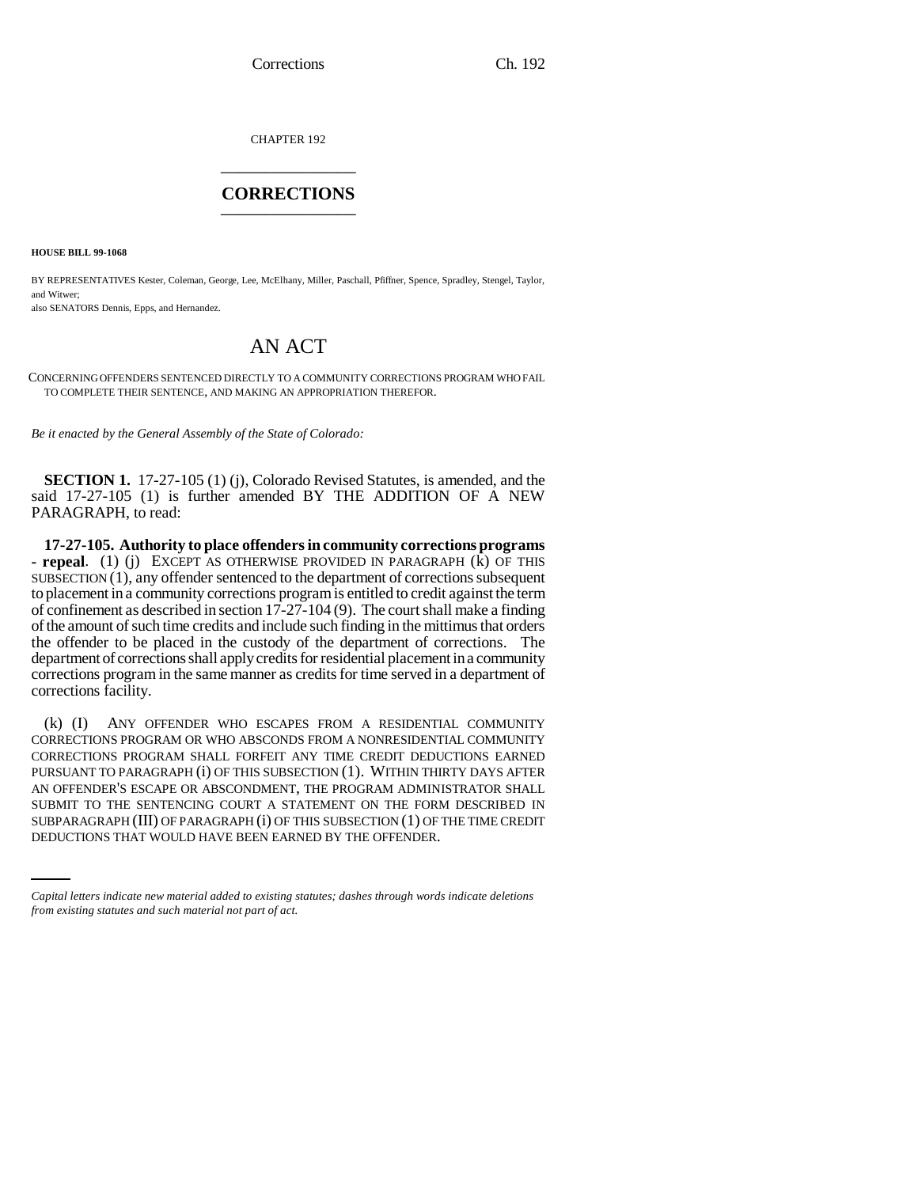Corrections Ch. 192

CHAPTER 192 \_\_\_\_\_\_\_\_\_\_\_\_\_\_\_

## **CORRECTIONS** \_\_\_\_\_\_\_\_\_\_\_\_\_\_\_

**HOUSE BILL 99-1068**

BY REPRESENTATIVES Kester, Coleman, George, Lee, McElhany, Miller, Paschall, Pfiffner, Spence, Spradley, Stengel, Taylor, and Witwer;

also SENATORS Dennis, Epps, and Hernandez.

## AN ACT

CONCERNING OFFENDERS SENTENCED DIRECTLY TO A COMMUNITY CORRECTIONS PROGRAM WHO FAIL TO COMPLETE THEIR SENTENCE, AND MAKING AN APPROPRIATION THEREFOR.

*Be it enacted by the General Assembly of the State of Colorado:*

**SECTION 1.** 17-27-105 (1) (j), Colorado Revised Statutes, is amended, and the said 17-27-105 (1) is further amended BY THE ADDITION OF A NEW PARAGRAPH, to read:

**17-27-105. Authority to place offenders in community corrections programs - repeal**. (1) (j) EXCEPT AS OTHERWISE PROVIDED IN PARAGRAPH (k) OF THIS SUBSECTION (1), any offender sentenced to the department of corrections subsequent to placement in a community corrections program is entitled to credit against the term of confinement as described in section 17-27-104 (9). The court shall make a finding of the amount of such time credits and include such finding in the mittimus that orders the offender to be placed in the custody of the department of corrections. The department of corrections shall apply credits for residential placement in a community corrections program in the same manner as credits for time served in a department of corrections facility.

SUBMIT TO THE SENTENCING COURT A STATEMENT ON THE FORM DESCRIBED IN (k) (I) ANY OFFENDER WHO ESCAPES FROM A RESIDENTIAL COMMUNITY CORRECTIONS PROGRAM OR WHO ABSCONDS FROM A NONRESIDENTIAL COMMUNITY CORRECTIONS PROGRAM SHALL FORFEIT ANY TIME CREDIT DEDUCTIONS EARNED PURSUANT TO PARAGRAPH (i) OF THIS SUBSECTION (1). WITHIN THIRTY DAYS AFTER AN OFFENDER'S ESCAPE OR ABSCONDMENT, THE PROGRAM ADMINISTRATOR SHALL SUBPARAGRAPH (III) OF PARAGRAPH (i) OF THIS SUBSECTION (1) OF THE TIME CREDIT DEDUCTIONS THAT WOULD HAVE BEEN EARNED BY THE OFFENDER.

*Capital letters indicate new material added to existing statutes; dashes through words indicate deletions from existing statutes and such material not part of act.*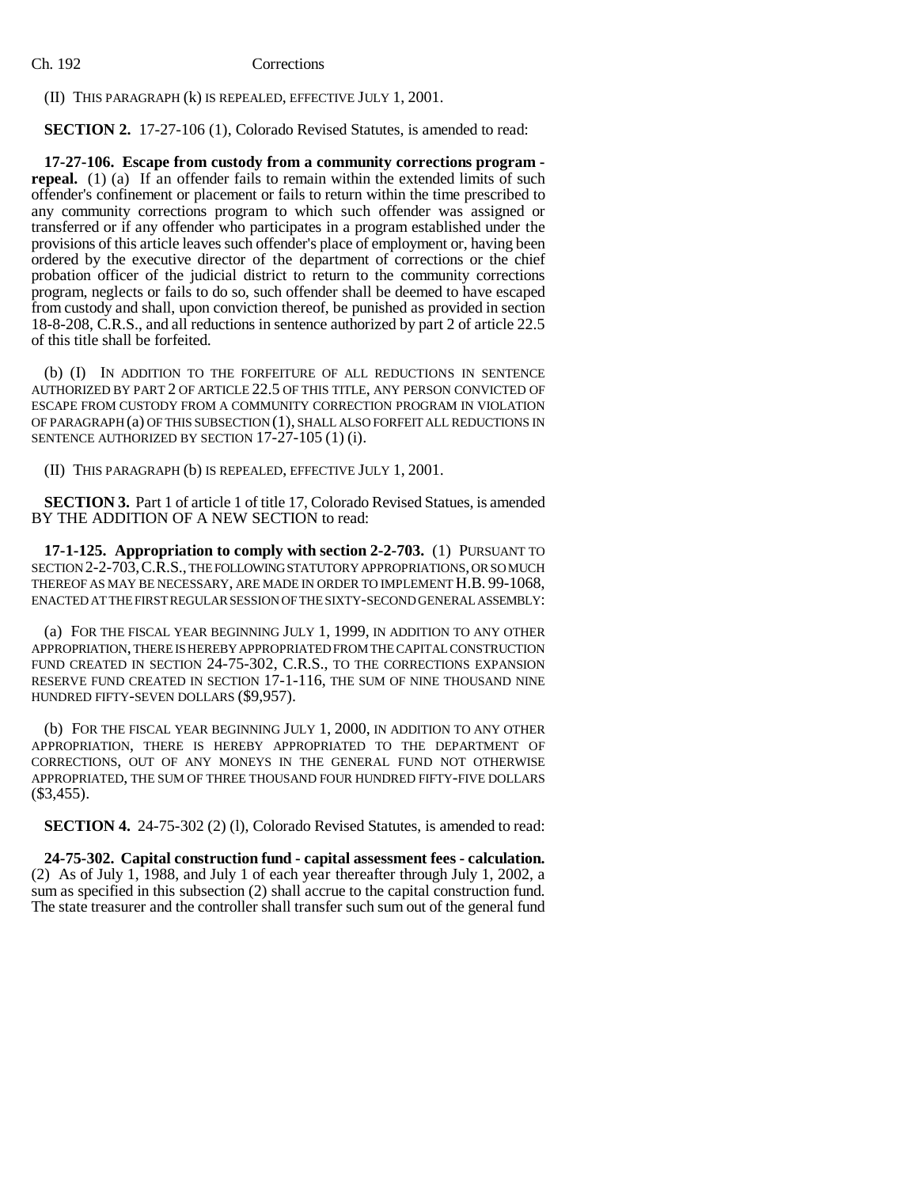## Ch. 192 Corrections

(II) THIS PARAGRAPH (k) IS REPEALED, EFFECTIVE JULY 1, 2001.

**SECTION 2.** 17-27-106 (1), Colorado Revised Statutes, is amended to read:

**17-27-106. Escape from custody from a community corrections program repeal.** (1) (a) If an offender fails to remain within the extended limits of such offender's confinement or placement or fails to return within the time prescribed to any community corrections program to which such offender was assigned or transferred or if any offender who participates in a program established under the provisions of this article leaves such offender's place of employment or, having been ordered by the executive director of the department of corrections or the chief probation officer of the judicial district to return to the community corrections program, neglects or fails to do so, such offender shall be deemed to have escaped from custody and shall, upon conviction thereof, be punished as provided in section 18-8-208, C.R.S., and all reductions in sentence authorized by part 2 of article 22.5 of this title shall be forfeited.

(b) (I) IN ADDITION TO THE FORFEITURE OF ALL REDUCTIONS IN SENTENCE AUTHORIZED BY PART 2 OF ARTICLE 22.5 OF THIS TITLE, ANY PERSON CONVICTED OF ESCAPE FROM CUSTODY FROM A COMMUNITY CORRECTION PROGRAM IN VIOLATION OF PARAGRAPH (a) OF THIS SUBSECTION (1), SHALL ALSO FORFEIT ALL REDUCTIONS IN SENTENCE AUTHORIZED BY SECTION 17-27-105 (1) (i).

(II) THIS PARAGRAPH (b) IS REPEALED, EFFECTIVE JULY 1, 2001.

**SECTION 3.** Part 1 of article 1 of title 17, Colorado Revised Statues, is amended BY THE ADDITION OF A NEW SECTION to read:

**17-1-125. Appropriation to comply with section 2-2-703.** (1) PURSUANT TO SECTION 2-2-703, C.R.S., THE FOLLOWING STATUTORY APPROPRIATIONS, OR SO MUCH THEREOF AS MAY BE NECESSARY, ARE MADE IN ORDER TO IMPLEMENT H.B. 99-1068, ENACTED AT THE FIRST REGULAR SESSION OF THE SIXTY-SECOND GENERAL ASSEMBLY:

(a) FOR THE FISCAL YEAR BEGINNING JULY 1, 1999, IN ADDITION TO ANY OTHER APPROPRIATION, THERE IS HEREBY APPROPRIATED FROM THE CAPITAL CONSTRUCTION FUND CREATED IN SECTION 24-75-302, C.R.S., TO THE CORRECTIONS EXPANSION RESERVE FUND CREATED IN SECTION 17-1-116, THE SUM OF NINE THOUSAND NINE HUNDRED FIFTY-SEVEN DOLLARS (\$9,957).

(b) FOR THE FISCAL YEAR BEGINNING JULY 1, 2000, IN ADDITION TO ANY OTHER APPROPRIATION, THERE IS HEREBY APPROPRIATED TO THE DEPARTMENT OF CORRECTIONS, OUT OF ANY MONEYS IN THE GENERAL FUND NOT OTHERWISE APPROPRIATED, THE SUM OF THREE THOUSAND FOUR HUNDRED FIFTY-FIVE DOLLARS (\$3,455).

**SECTION 4.** 24-75-302 (2) (1), Colorado Revised Statutes, is amended to read:

**24-75-302. Capital construction fund - capital assessment fees - calculation.** (2) As of July 1, 1988, and July 1 of each year thereafter through July 1, 2002, a sum as specified in this subsection (2) shall accrue to the capital construction fund. The state treasurer and the controller shall transfer such sum out of the general fund